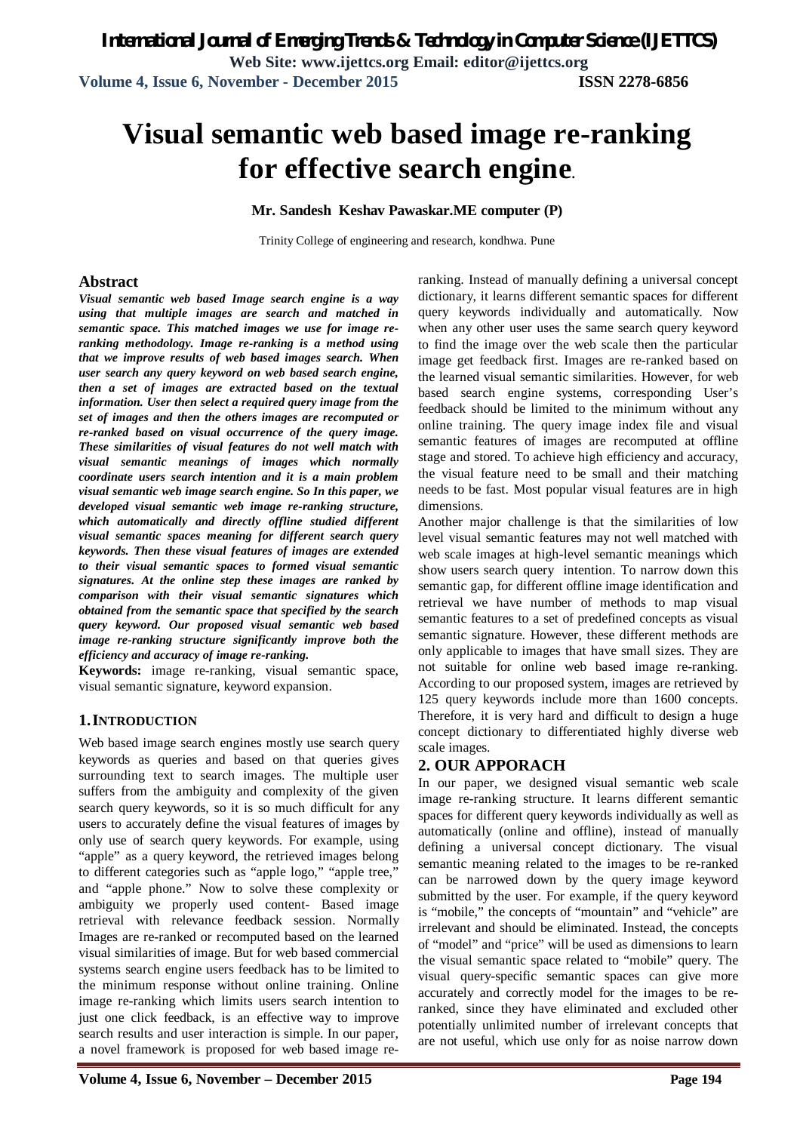# **Visual semantic web based image re-ranking for effective search engine.**

#### **Mr. Sandesh Keshav Pawaskar.ME computer (P)**

Trinity College of engineering and research, kondhwa. Pune

#### **Abstract**

*Visual semantic web based Image search engine is a way using that multiple images are search and matched in semantic space. This matched images we use for image reranking methodology. Image re-ranking is a method using that we improve results of web based images search. When user search any query keyword on web based search engine, then a set of images are extracted based on the textual information. User then select a required query image from the set of images and then the others images are recomputed or re-ranked based on visual occurrence of the query image. These similarities of visual features do not well match with visual semantic meanings of images which normally coordinate users search intention and it is a main problem visual semantic web image search engine. So In this paper, we developed visual semantic web image re-ranking structure, which automatically and directly offline studied different visual semantic spaces meaning for different search query keywords. Then these visual features of images are extended to their visual semantic spaces to formed visual semantic signatures. At the online step these images are ranked by comparison with their visual semantic signatures which obtained from the semantic space that specified by the search query keyword. Our proposed visual semantic web based image re-ranking structure significantly improve both the efficiency and accuracy of image re-ranking.*

**Keywords:** image re-ranking, visual semantic space, visual semantic signature, keyword expansion.

#### **1.INTRODUCTION**

Web based image search engines mostly use search query keywords as queries and based on that queries gives surrounding text to search images. The multiple user suffers from the ambiguity and complexity of the given search query keywords, so it is so much difficult for any users to accurately define the visual features of images by only use of search query keywords. For example, using "apple" as a query keyword, the retrieved images belong to different categories such as "apple logo," "apple tree," and "apple phone." Now to solve these complexity or ambiguity we properly used content- Based image retrieval with relevance feedback session. Normally Images are re-ranked or recomputed based on the learned visual similarities of image. But for web based commercial systems search engine users feedback has to be limited to the minimum response without online training. Online image re-ranking which limits users search intention to just one click feedback, is an effective way to improve search results and user interaction is simple. In our paper, a novel framework is proposed for web based image reranking. Instead of manually defining a universal concept dictionary, it learns different semantic spaces for different query keywords individually and automatically. Now when any other user uses the same search query keyword to find the image over the web scale then the particular image get feedback first. Images are re-ranked based on the learned visual semantic similarities. However, for web based search engine systems, corresponding User's feedback should be limited to the minimum without any online training. The query image index file and visual semantic features of images are recomputed at offline stage and stored. To achieve high efficiency and accuracy, the visual feature need to be small and their matching needs to be fast. Most popular visual features are in high dimensions.

Another major challenge is that the similarities of low level visual semantic features may not well matched with web scale images at high-level semantic meanings which show users search query intention. To narrow down this semantic gap, for different offline image identification and retrieval we have number of methods to map visual semantic features to a set of predefined concepts as visual semantic signature. However, these different methods are only applicable to images that have small sizes. They are not suitable for online web based image re-ranking. According to our proposed system, images are retrieved by 125 query keywords include more than 1600 concepts. Therefore, it is very hard and difficult to design a huge concept dictionary to differentiated highly diverse web scale images.

#### **2. OUR APPORACH**

In our paper, we designed visual semantic web scale image re-ranking structure. It learns different semantic spaces for different query keywords individually as well as automatically (online and offline), instead of manually defining a universal concept dictionary. The visual semantic meaning related to the images to be re-ranked can be narrowed down by the query image keyword submitted by the user. For example, if the query keyword is "mobile," the concepts of "mountain" and "vehicle" are irrelevant and should be eliminated. Instead, the concepts of "model" and "price" will be used as dimensions to learn the visual semantic space related to "mobile" query. The visual query-specific semantic spaces can give more accurately and correctly model for the images to be reranked, since they have eliminated and excluded other potentially unlimited number of irrelevant concepts that are not useful, which use only for as noise narrow down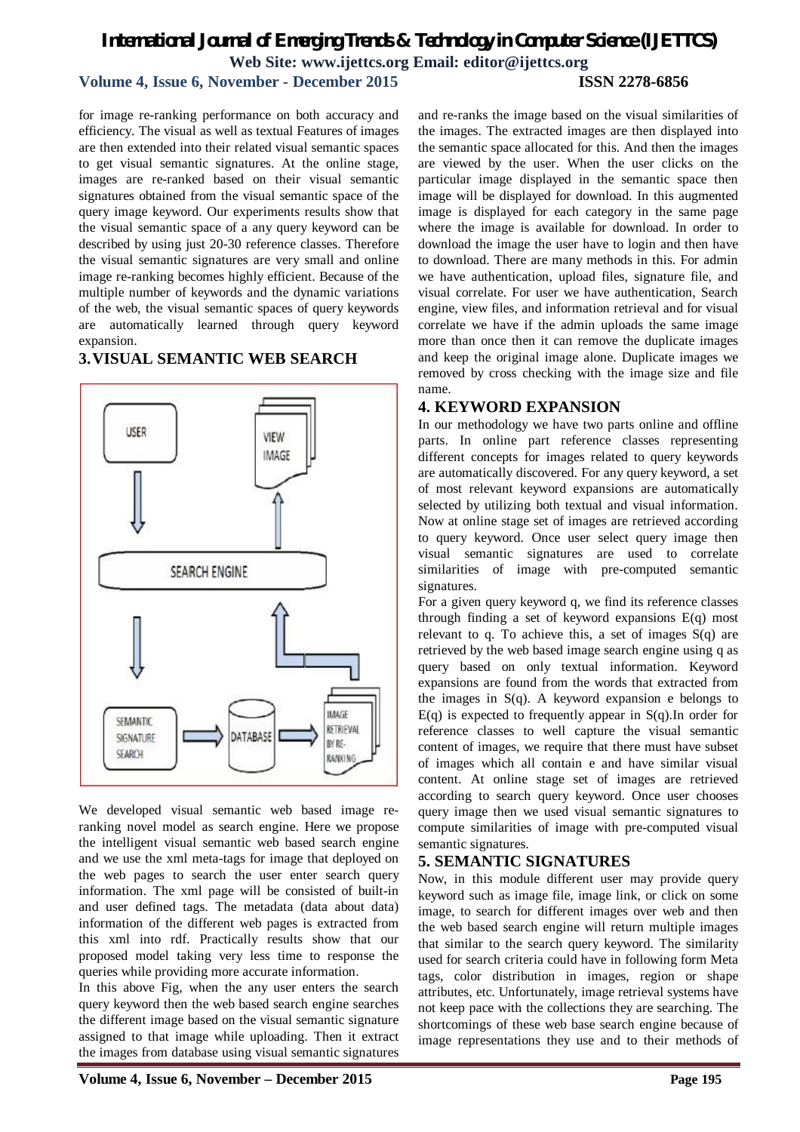## *International Journal of Emerging Trends & Technology in Computer Science (IJETTCS)* **Web Site: www.ijettcs.org Email: editor@ijettcs.org**

#### **Volume 4, Issue 6, November - December 2015 ISSN 2278-6856**

for image re-ranking performance on both accuracy and efficiency. The visual as well as textual Features of images are then extended into their related visual semantic spaces to get visual semantic signatures. At the online stage, images are re-ranked based on their visual semantic signatures obtained from the visual semantic space of the query image keyword. Our experiments results show that the visual semantic space of a any query keyword can be described by using just 20-30 reference classes. Therefore the visual semantic signatures are very small and online image re-ranking becomes highly efficient. Because of the multiple number of keywords and the dynamic variations of the web, the visual semantic spaces of query keywords are automatically learned through query keyword expansion.

#### **3.VISUAL SEMANTIC WEB SEARCH**



We developed visual semantic web based image reranking novel model as search engine. Here we propose the intelligent visual semantic web based search engine and we use the xml meta-tags for image that deployed on the web pages to search the user enter search query information. The xml page will be consisted of built-in and user defined tags. The metadata (data about data) information of the different web pages is extracted from this xml into rdf. Practically results show that our proposed model taking very less time to response the queries while providing more accurate information.

In this above Fig, when the any user enters the search query keyword then the web based search engine searches the different image based on the visual semantic signature assigned to that image while uploading. Then it extract the images from database using visual semantic signatures

and re-ranks the image based on the visual similarities of the images. The extracted images are then displayed into the semantic space allocated for this. And then the images are viewed by the user. When the user clicks on the particular image displayed in the semantic space then image will be displayed for download. In this augmented image is displayed for each category in the same page where the image is available for download. In order to download the image the user have to login and then have to download. There are many methods in this. For admin we have authentication, upload files, signature file, and visual correlate. For user we have authentication, Search engine, view files, and information retrieval and for visual correlate we have if the admin uploads the same image more than once then it can remove the duplicate images and keep the original image alone. Duplicate images we removed by cross checking with the image size and file name.

#### **4. KEYWORD EXPANSION**

In our methodology we have two parts online and offline parts. In online part reference classes representing different concepts for images related to query keywords are automatically discovered. For any query keyword, a set of most relevant keyword expansions are automatically selected by utilizing both textual and visual information. Now at online stage set of images are retrieved according to query keyword. Once user select query image then visual semantic signatures are used to correlate similarities of image with pre-computed semantic signatures.

For a given query keyword q, we find its reference classes through finding a set of keyword expansions E(q) most relevant to q. To achieve this, a set of images  $S(q)$  are retrieved by the web based image search engine using q as query based on only textual information. Keyword expansions are found from the words that extracted from the images in S(q). A keyword expansion e belongs to  $E(q)$  is expected to frequently appear in  $S(q)$ . In order for reference classes to well capture the visual semantic content of images, we require that there must have subset of images which all contain e and have similar visual content. At online stage set of images are retrieved according to search query keyword. Once user chooses query image then we used visual semantic signatures to compute similarities of image with pre-computed visual semantic signatures.

#### **5. SEMANTIC SIGNATURES**

Now, in this module different user may provide query keyword such as image file, image link, or click on some image, to search for different images over web and then the web based search engine will return multiple images that similar to the search query keyword. The similarity used for search criteria could have in following form Meta tags, color distribution in images, region or shape attributes, etc. Unfortunately, image retrieval systems have not keep pace with the collections they are searching. The shortcomings of these web base search engine because of image representations they use and to their methods of